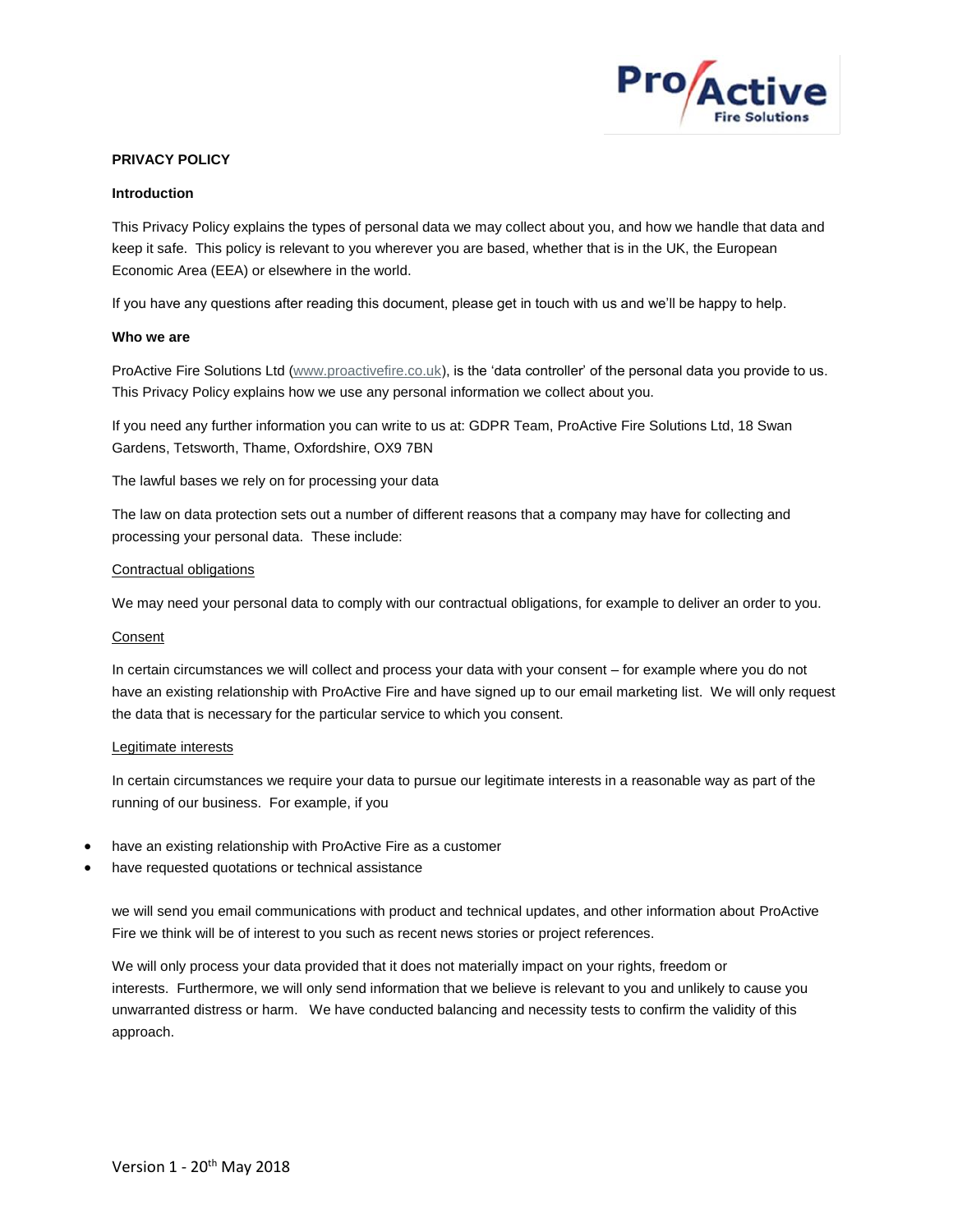

# **PRIVACY POLICY**

## **Introduction**

This Privacy Policy explains the types of personal data we may collect about you, and how we handle that data and keep it safe. This policy is relevant to you wherever you are based, whether that is in the UK, the European Economic Area (EEA) or elsewhere in the world.

If you have any questions after reading this document, please get in touch with us and we'll be happy to help.

## **Who we are**

ProActive Fire Solutions Ltd (www.proactivefire.co.uk), is the 'data controller' of the personal data you provide to us. This Privacy Policy explains how we use any personal information we collect about you.

If you need any further information you can write to us at: GDPR Team, ProActive Fire Solutions Ltd, 18 Swan Gardens, Tetsworth, Thame, Oxfordshire, OX9 7BN

The lawful bases we rely on for processing your data

The law on data protection sets out a number of different reasons that a company may have for collecting and processing your personal data. These include:

## Contractual obligations

We may need your personal data to comply with our contractual obligations, for example to deliver an order to you.

## Consent

In certain circumstances we will collect and process your data with your consent – for example where you do not have an existing relationship with ProActive Fire and have signed up to our email marketing list. We will only request the data that is necessary for the particular service to which you consent.

## Legitimate interests

In certain circumstances we require your data to pursue our legitimate interests in a reasonable way as part of the running of our business. For example, if you

- have an existing relationship with ProActive Fire as a customer
- have requested quotations or technical assistance

we will send you email communications with product and technical updates, and other information about ProActive Fire we think will be of interest to you such as recent news stories or project references.

We will only process your data provided that it does not materially impact on your rights, freedom or interests. Furthermore, we will only send information that we believe is relevant to you and unlikely to cause you unwarranted distress or harm. We have conducted balancing and necessity tests to confirm the validity of this approach.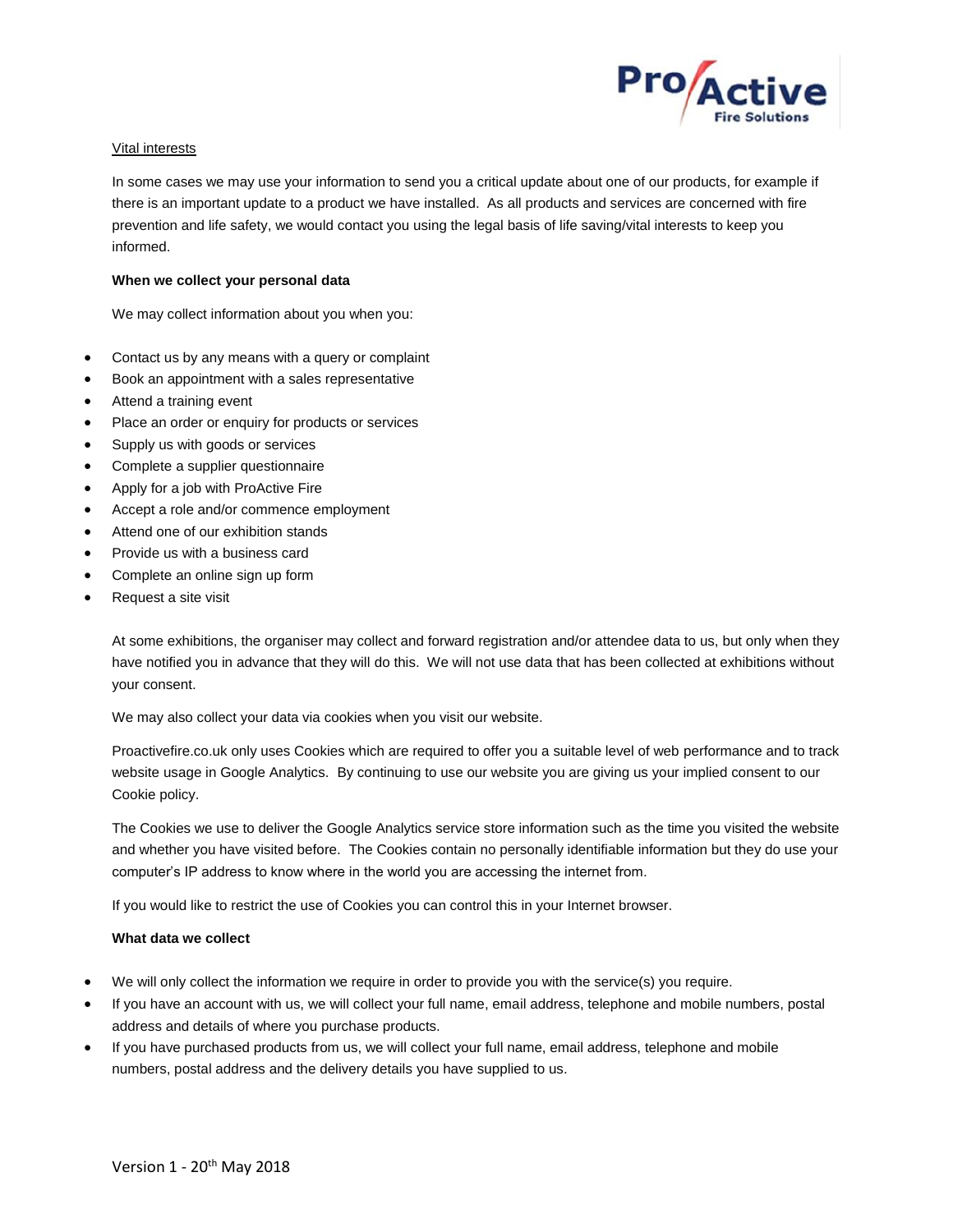

## Vital interests

In some cases we may use your information to send you a critical update about one of our products, for example if there is an important update to a product we have installed. As all products and services are concerned with fire prevention and life safety, we would contact you using the legal basis of life saving/vital interests to keep you informed.

# **When we collect your personal data**

We may collect information about you when you:

- Contact us by any means with a query or complaint
- Book an appointment with a sales representative
- Attend a training event
- Place an order or enquiry for products or services
- Supply us with goods or services
- Complete a supplier questionnaire
- Apply for a job with ProActive Fire
- Accept a role and/or commence employment
- Attend one of our exhibition stands
- Provide us with a business card
- Complete an online sign up form
- Request a site visit

At some exhibitions, the organiser may collect and forward registration and/or attendee data to us, but only when they have notified you in advance that they will do this. We will not use data that has been collected at exhibitions without your consent.

We may also collect your data via cookies when you visit our website.

Proactivefire.co.uk only uses Cookies which are required to offer you a suitable level of web performance and to track website usage in Google Analytics. By continuing to use our website you are giving us your implied consent to our Cookie policy.

The Cookies we use to deliver the Google Analytics service store information such as the time you visited the website and whether you have visited before. The Cookies contain no personally identifiable information but they do use your computer's IP address to know where in the world you are accessing the internet from.

If you would like to restrict the use of Cookies you can control this in your Internet browser.

## **What data we collect**

- We will only collect the information we require in order to provide you with the service(s) you require.
- If you have an account with us, we will collect your full name, email address, telephone and mobile numbers, postal address and details of where you purchase products.
- If you have purchased products from us, we will collect your full name, email address, telephone and mobile numbers, postal address and the delivery details you have supplied to us.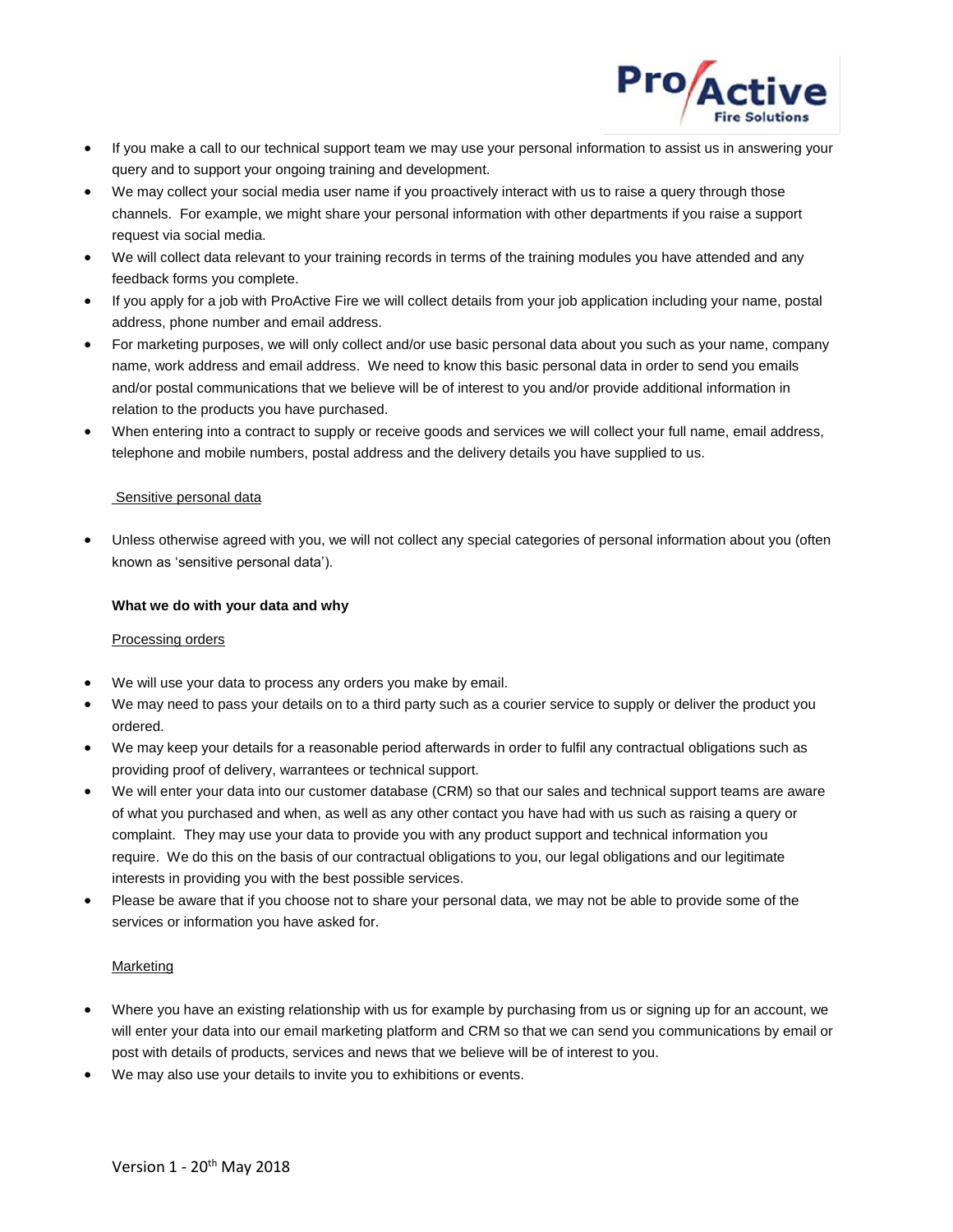

- If you make a call to our technical support team we may use your personal information to assist us in answering your query and to support your ongoing training and development.
- We may collect your social media user name if you proactively interact with us to raise a query through those channels. For example, we might share your personal information with other departments if you raise a support request via social media.
- We will collect data relevant to your training records in terms of the training modules you have attended and any feedback forms you complete.
- If you apply for a job with ProActive Fire we will collect details from your job application including your name, postal address, phone number and email address.
- For marketing purposes, we will only collect and/or use basic personal data about you such as your name, company name, work address and email address. We need to know this basic personal data in order to send you emails and/or postal communications that we believe will be of interest to you and/or provide additional information in relation to the products you have purchased.
- When entering into a contract to supply or receive goods and services we will collect your full name, email address, telephone and mobile numbers, postal address and the delivery details you have supplied to us.

# Sensitive personal data

• Unless otherwise agreed with you, we will not collect any special categories of personal information about you (often known as 'sensitive personal data').

# **What we do with your data and why**

# Processing orders

- We will use your data to process any orders you make by email.
- We may need to pass your details on to a third party such as a courier service to supply or deliver the product you ordered.
- We may keep your details for a reasonable period afterwards in order to fulfil any contractual obligations such as providing proof of delivery, warrantees or technical support.
- We will enter your data into our customer database (CRM) so that our sales and technical support teams are aware of what you purchased and when, as well as any other contact you have had with us such as raising a query or complaint. They may use your data to provide you with any product support and technical information you require. We do this on the basis of our contractual obligations to you, our legal obligations and our legitimate interests in providing you with the best possible services.
- Please be aware that if you choose not to share your personal data, we may not be able to provide some of the services or information you have asked for.

# Marketing

- Where you have an existing relationship with us for example by purchasing from us or signing up for an account, we will enter your data into our email marketing platform and CRM so that we can send you communications by email or post with details of products, services and news that we believe will be of interest to you.
- We may also use your details to invite you to exhibitions or events.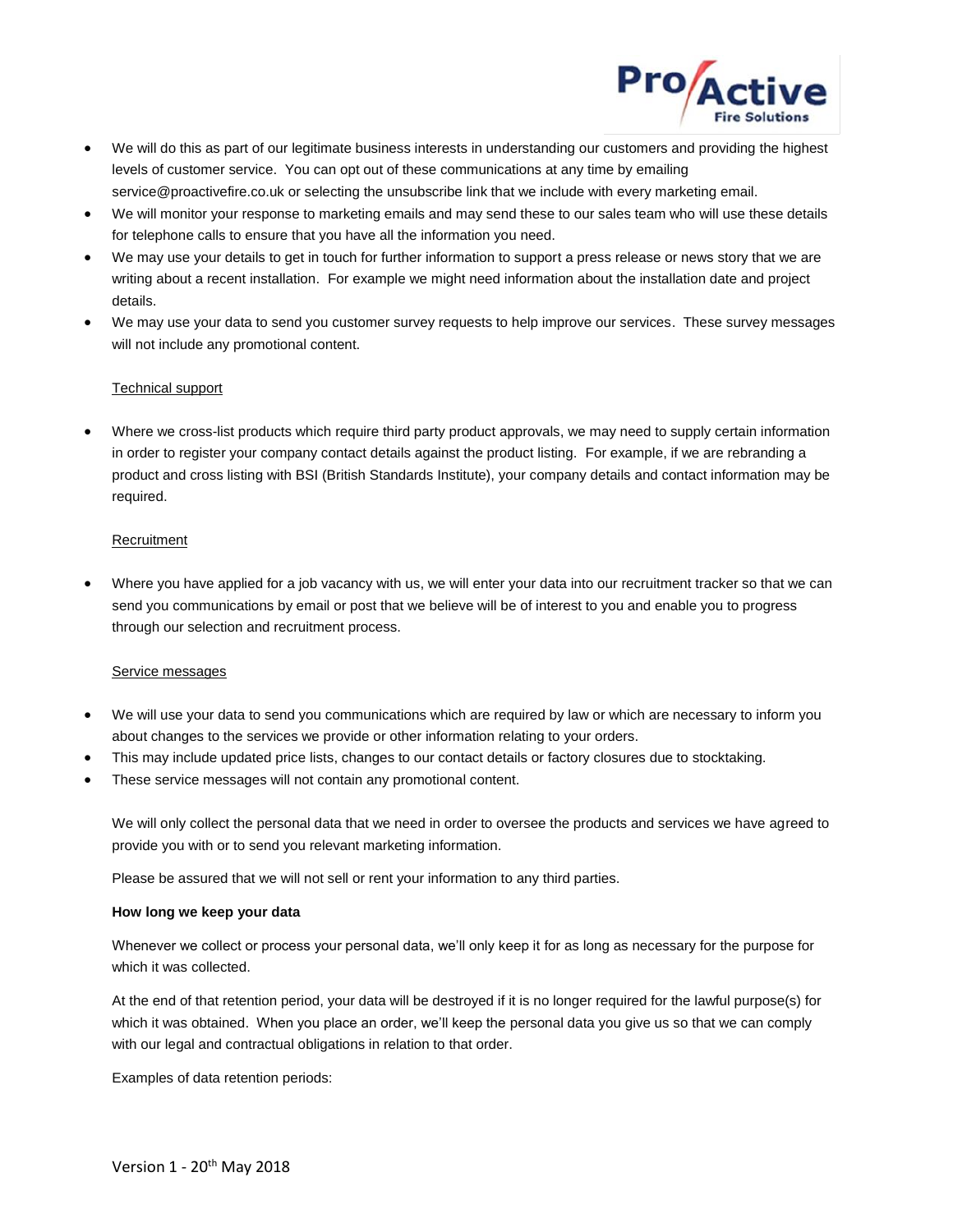

- We will do this as part of our legitimate business interests in understanding our customers and providing the highest levels of customer service. You can opt out of these communications at any time by emailing service@proactivefire.co.uk or selecting the unsubscribe link that we include with every marketing email.
- We will monitor your response to marketing emails and may send these to our sales team who will use these details for telephone calls to ensure that you have all the information you need.
- We may use your details to get in touch for further information to support a press release or news story that we are writing about a recent installation. For example we might need information about the installation date and project details.
- We may use your data to send you customer survey requests to help improve our services. These survey messages will not include any promotional content.

# Technical support

• Where we cross-list products which require third party product approvals, we may need to supply certain information in order to register your company contact details against the product listing. For example, if we are rebranding a product and cross listing with BSI (British Standards Institute), your company details and contact information may be required.

# **Recruitment**

• Where you have applied for a job vacancy with us, we will enter your data into our recruitment tracker so that we can send you communications by email or post that we believe will be of interest to you and enable you to progress through our selection and recruitment process.

# Service messages

- We will use your data to send you communications which are required by law or which are necessary to inform you about changes to the services we provide or other information relating to your orders.
- This may include updated price lists, changes to our contact details or factory closures due to stocktaking.
- These service messages will not contain any promotional content.

We will only collect the personal data that we need in order to oversee the products and services we have agreed to provide you with or to send you relevant marketing information.

Please be assured that we will not sell or rent your information to any third parties.

## **How long we keep your data**

Whenever we collect or process your personal data, we'll only keep it for as long as necessary for the purpose for which it was collected.

At the end of that retention period, your data will be destroyed if it is no longer required for the lawful purpose(s) for which it was obtained. When you place an order, we'll keep the personal data you give us so that we can comply with our legal and contractual obligations in relation to that order.

Examples of data retention periods: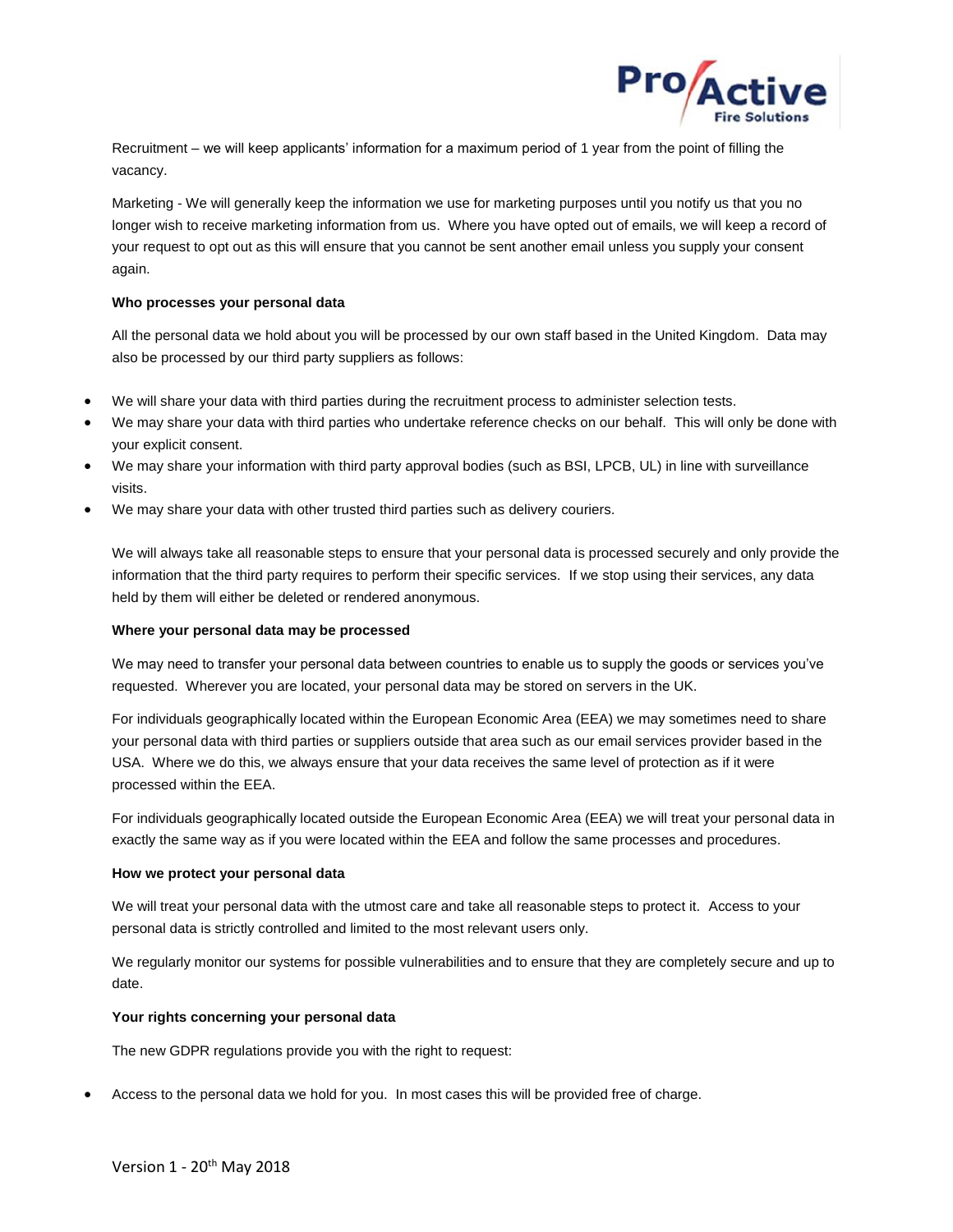

Recruitment – we will keep applicants' information for a maximum period of 1 year from the point of filling the vacancy.

Marketing - We will generally keep the information we use for marketing purposes until you notify us that you no longer wish to receive marketing information from us. Where you have opted out of emails, we will keep a record of your request to opt out as this will ensure that you cannot be sent another email unless you supply your consent again.

## **Who processes your personal data**

All the personal data we hold about you will be processed by our own staff based in the United Kingdom. Data may also be processed by our third party suppliers as follows:

- We will share your data with third parties during the recruitment process to administer selection tests.
- We may share your data with third parties who undertake reference checks on our behalf. This will only be done with your explicit consent.
- We may share your information with third party approval bodies (such as BSI, LPCB, UL) in line with surveillance visits.
- We may share your data with other trusted third parties such as delivery couriers.

We will always take all reasonable steps to ensure that your personal data is processed securely and only provide the information that the third party requires to perform their specific services. If we stop using their services, any data held by them will either be deleted or rendered anonymous.

## **Where your personal data may be processed**

We may need to transfer your personal data between countries to enable us to supply the goods or services you've requested. Wherever you are located, your personal data may be stored on servers in the UK.

For individuals geographically located within the European Economic Area (EEA) we may sometimes need to share your personal data with third parties or suppliers outside that area such as our email services provider based in the USA. Where we do this, we always ensure that your data receives the same level of protection as if it were processed within the EEA.

For individuals geographically located outside the European Economic Area (EEA) we will treat your personal data in exactly the same way as if you were located within the EEA and follow the same processes and procedures.

## **How we protect your personal data**

We will treat your personal data with the utmost care and take all reasonable steps to protect it. Access to your personal data is strictly controlled and limited to the most relevant users only.

We regularly monitor our systems for possible vulnerabilities and to ensure that they are completely secure and up to date.

# **Your rights concerning your personal data**

The new GDPR regulations provide you with the right to request:

• Access to the personal data we hold for you. In most cases this will be provided free of charge.